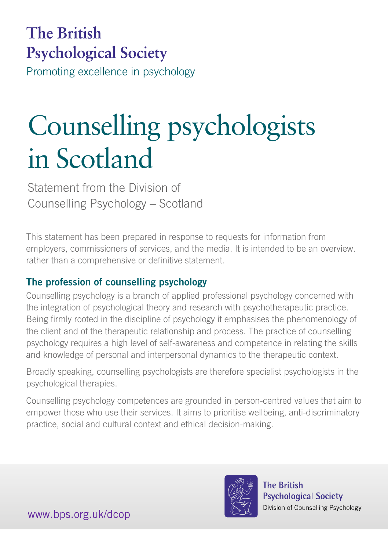# **The British Psychological Society**

Promoting excellence in psychology

# Counselling psychologists in Scotland

Statement from the Division of Counselling Psychology – Scotland

This statement has been prepared in response to requests for information from employers, commissioners of services, and the media. It is intended to be an overview, rather than a comprehensive or definitive statement.

## The profession of counselling psychology

Counselling psychology is a branch of applied professional psychology concerned with the integration of psychological theory and research with psychotherapeutic practice. Being firmly rooted in the discipline of psychology it emphasises the phenomenology of the client and of the therapeutic relationship and process. The practice of counselling psychology requires a high level of self-awareness and competence in relating the skills and knowledge of personal and interpersonal dynamics to the therapeutic context.

Broadly speaking, counselling psychologists are therefore specialist psychologists in the psychological therapies.

Counselling psychology competences are grounded in person-centred values that aim to empower those who use their services. It aims to prioritise wellbeing, anti-discriminatory practice, social and cultural context and ethical decision-making.



**The British Psychological Society** Division of Counselling Psychology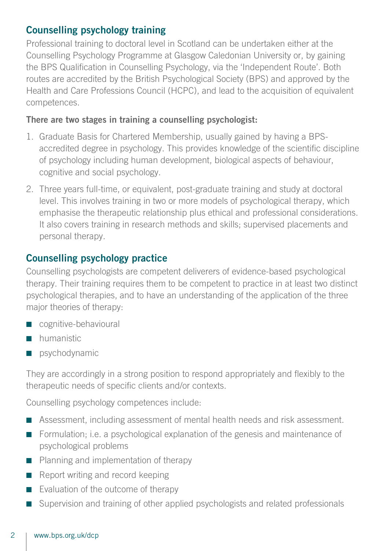#### Counselling psychology training

Professional training to doctoral level in Scotland can be undertaken either at the Counselling Psychology Programme at Glasgow Caledonian University or, by gaining the BPS Qualification in Counselling Psychology, via the 'Independent Route'. Both routes are accredited by the British Psychological Society (BPS) and approved by the Health and Care Professions Council (HCPC), and lead to the acquisition of equivalent competences.

#### There are two stages in training a counselling psychologist:

- 1. Graduate Basis for Chartered Membership, usually gained by having a BPSaccredited degree in psychology. This provides knowledge of the scientific discipline of psychology including human development, biological aspects of behaviour, cognitive and social psychology.
- 2. Three years full-time, or equivalent, post-graduate training and study at doctoral level. This involves training in two or more models of psychological therapy, which emphasise the therapeutic relationship plus ethical and professional considerations. It also covers training in research methods and skills; supervised placements and personal therapy.

#### Counselling psychology practice

Counselling psychologists are competent deliverers of evidence-based psychological therapy. Their training requires them to be competent to practice in at least two distinct psychological therapies, and to have an understanding of the application of the three major theories of therapy:

- cognitive-behavioural
- humanistic
- psychodynamic

They are accordingly in a strong position to respond appropriately and flexibly to the therapeutic needs of specific clients and/or contexts.

Counselling psychology competences include:

- Assessment, including assessment of mental health needs and risk assessment.
- Formulation; i.e. a psychological explanation of the genesis and maintenance of psychological problems
- Planning and implementation of therapy
- Report writing and record keeping
- Evaluation of the outcome of therapy
- Supervision and training of other applied psychologists and related professionals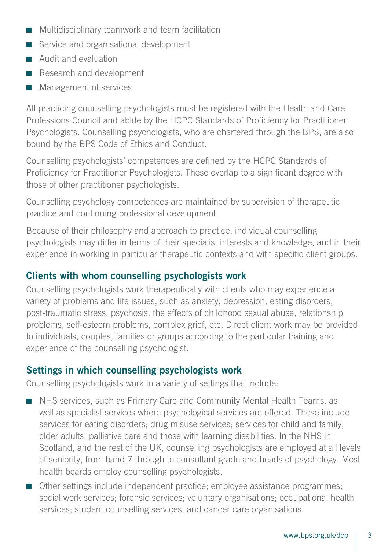- Multidisciplinary teamwork and team facilitation
- Service and organisational development
- Audit and evaluation
- Research and development
- Management of services

All practicing counselling psychologists must be registered with the Health and Care Professions Council and abide by the HCPC Standards of Proficiency for Practitioner Psychologists. Counselling psychologists, who are chartered through the BPS, are also bound by the BPS Code of Ethics and Conduct.

Counselling psychologists' competences are defined by the HCPC Standards of Proficiency for Practitioner Psychologists. These overlap to a significant degree with those of other practitioner psychologists.

Counselling psychology competences are maintained by supervision of therapeutic practice and continuing professional development.

Because of their philosophy and approach to practice, individual counselling psychologists may differ in terms of their specialist interests and knowledge, and in their experience in working in particular therapeutic contexts and with specific client groups.

#### Clients with whom counselling psychologists work

Counselling psychologists work therapeutically with clients who may experience a variety of problems and life issues, such as anxiety, depression, eating disorders, post-traumatic stress, psychosis, the effects of childhood sexual abuse, relationship problems, self-esteem problems, complex grief, etc. Direct client work may be provided to individuals, couples, families or groups according to the particular training and experience of the counselling psychologist.

#### Settings in which counselling psychologists work

Counselling psychologists work in a variety of settings that include:

- NHS services, such as Primary Care and Community Mental Health Teams, as well as specialist services where psychological services are offered. These include services for eating disorders; drug misuse services; services for child and family, older adults, palliative care and those with learning disabilities. In the NHS in Scotland, and the rest of the UK, counselling psychologists are employed at all levels of seniority, from band 7 through to consultant grade and heads of psychology. Most health boards employ counselling psychologists.
- Other settings include independent practice; employee assistance programmes; social work services; forensic services; voluntary organisations; occupational health services; student counselling services, and cancer care organisations.